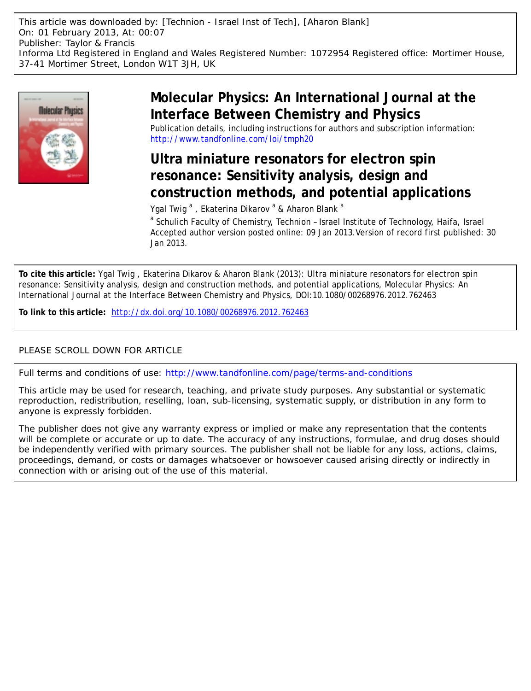

# **Molecular Physics: An International Journal at the Interface Between Chemistry and Physics**

Publication details, including instructions for authors and subscription information: <http://www.tandfonline.com/loi/tmph20>

# **Ultra miniature resonators for electron spin resonance: Sensitivity analysis, design and construction methods, and potential applications**

Ygal Twig <sup>a</sup>, Ekaterina Dikarov <sup>a</sup> & Aharon Blank <sup>a</sup>

<sup>a</sup> Schulich Faculty of Chemistry, Technion - Israel Institute of Technology, Haifa, Israel Accepted author version posted online: 09 Jan 2013.Version of record first published: 30 Jan 2013.

**To cite this article:** Ygal Twig , Ekaterina Dikarov & Aharon Blank (2013): Ultra miniature resonators for electron spin resonance: Sensitivity analysis, design and construction methods, and potential applications, Molecular Physics: An International Journal at the Interface Between Chemistry and Physics, DOI:10.1080/00268976.2012.762463

**To link to this article:** <http://dx.doi.org/10.1080/00268976.2012.762463>

## PLEASE SCROLL DOWN FOR ARTICLE

Full terms and conditions of use:<http://www.tandfonline.com/page/terms-and-conditions>

This article may be used for research, teaching, and private study purposes. Any substantial or systematic reproduction, redistribution, reselling, loan, sub-licensing, systematic supply, or distribution in any form to anyone is expressly forbidden.

The publisher does not give any warranty express or implied or make any representation that the contents will be complete or accurate or up to date. The accuracy of any instructions, formulae, and drug doses should be independently verified with primary sources. The publisher shall not be liable for any loss, actions, claims, proceedings, demand, or costs or damages whatsoever or howsoever caused arising directly or indirectly in connection with or arising out of the use of this material.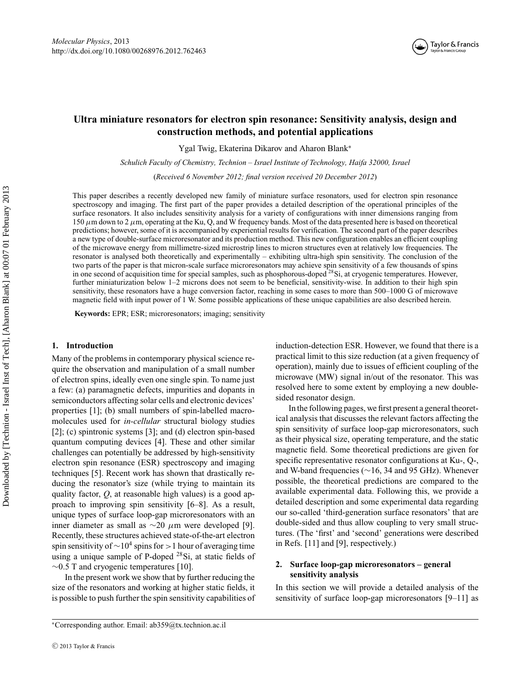

### **Ultra miniature resonators for electron spin resonance: Sensitivity analysis, design and construction methods, and potential applications**

Ygal Twig, Ekaterina Dikarov and Aharon Blank<sup>∗</sup>

*Schulich Faculty of Chemistry, Technion – Israel Institute of Technology, Haifa 32000, Israel*

(*Received 6 November 2012; final version received 20 December 2012*)

This paper describes a recently developed new family of miniature surface resonators, used for electron spin resonance spectroscopy and imaging. The first part of the paper provides a detailed description of the operational principles of the surface resonators. It also includes sensitivity analysis for a variety of configurations with inner dimensions ranging from 150  $\mu$ m down to 2  $\mu$ m, operating at the Ku, Q, and W frequency bands. Most of the data presented here is based on theoretical predictions; however, some of it is accompanied by experiential results for verification. The second part of the paper describes a new type of double-surface microresonator and its production method. This new configuration enables an efficient coupling of the microwave energy from millimetre-sized microstrip lines to micron structures even at relatively low frequencies. The resonator is analysed both theoretically and experimentally – exhibiting ultra-high spin sensitivity. The conclusion of the two parts of the paper is that micron-scale surface microresonators may achieve spin sensitivity of a few thousands of spins in one second of acquisition time for special samples, such as phosphorous-doped <sup>28</sup>Si, at cryogenic temperatures. However, further miniaturization below 1–2 microns does not seem to be beneficial, sensitivity-wise. In addition to their high spin sensitivity, these resonators have a huge conversion factor, reaching in some cases to more than 500–1000 G of microwave magnetic field with input power of 1 W. Some possible applications of these unique capabilities are also described herein.

**Keywords:** EPR; ESR; microresonators; imaging; sensitivity

#### **1. Introduction**

Many of the problems in contemporary physical science require the observation and manipulation of a small number of electron spins, ideally even one single spin. To name just a few: (a) paramagnetic defects, impurities and dopants in semiconductors affecting solar cells and electronic devices' properties [1]; (b) small numbers of spin-labelled macromolecules used for *in-cellular* structural biology studies [2]; (c) spintronic systems [3]; and (d) electron spin-based quantum computing devices [4]. These and other similar challenges can potentially be addressed by high-sensitivity electron spin resonance (ESR) spectroscopy and imaging techniques [5]. Recent work has shown that drastically reducing the resonator's size (while trying to maintain its quality factor, *Q*, at reasonable high values) is a good approach to improving spin sensitivity [6–8]. As a result, unique types of surface loop-gap microresonators with an inner diameter as small as  $\sim$ 20  $\mu$ m were developed [9]. Recently, these structures achieved state-of-the-art electron spin sensitivity of  $\sim$ 10<sup>4</sup> spins for >1 hour of averaging time using a unique sample of P-doped <sup>28</sup>Si, at static fields of  $∼0.5$  T and cryogenic temperatures [10].

In the present work we show that by further reducing the size of the resonators and working at higher static fields, it is possible to push further the spin sensitivity capabilities of induction-detection ESR. However, we found that there is a practical limit to this size reduction (at a given frequency of operation), mainly due to issues of efficient coupling of the microwave (MW) signal in/out of the resonator. This was resolved here to some extent by employing a new doublesided resonator design.

In the following pages, we first present a general theoretical analysis that discusses the relevant factors affecting the spin sensitivity of surface loop-gap microresonators, such as their physical size, operating temperature, and the static magnetic field. Some theoretical predictions are given for specific representative resonator configurations at Ku-, Q-, and W-band frequencies (∼16, 34 and 95 GHz). Whenever possible, the theoretical predictions are compared to the available experimental data. Following this, we provide a detailed description and some experimental data regarding our so-called 'third-generation surface resonators' that are double-sided and thus allow coupling to very small structures. (The 'first' and 'second' generations were described in Refs. [11] and [9], respectively.)

### **2. Surface loop-gap microresonators – general sensitivity analysis**

In this section we will provide a detailed analysis of the sensitivity of surface loop-gap microresonators [9–11] as

<sup>∗</sup>Corresponding author. Email: ab359@tx.technion.ac.il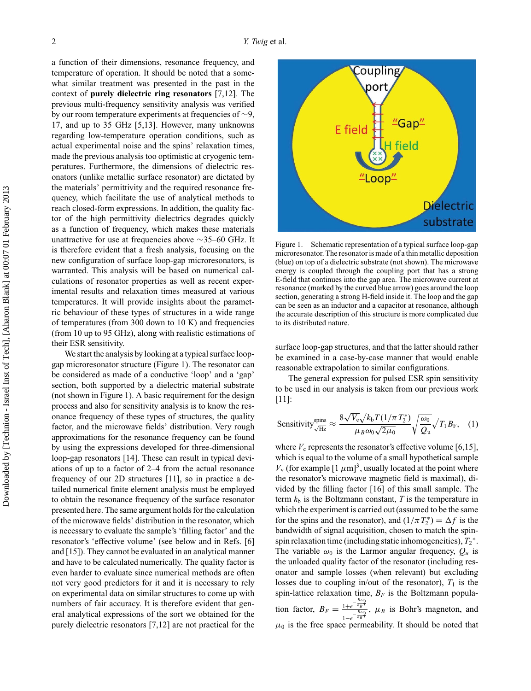a function of their dimensions, resonance frequency, and temperature of operation. It should be noted that a somewhat similar treatment was presented in the past in the context of **purely dielectric ring resonators** [7,12]. The previous multi-frequency sensitivity analysis was verified by our room temperature experiments at frequencies of ∼9, 17, and up to 35 GHz [5,13]. However, many unknowns regarding low-temperature operation conditions, such as actual experimental noise and the spins' relaxation times, made the previous analysis too optimistic at cryogenic temperatures. Furthermore, the dimensions of dielectric resonators (unlike metallic surface resonator) are dictated by the materials' permittivity and the required resonance frequency, which facilitate the use of analytical methods to reach closed-form expressions. In addition, the quality factor of the high permittivity dielectrics degrades quickly as a function of frequency, which makes these materials unattractive for use at frequencies above ∼35–60 GHz. It is therefore evident that a fresh analysis, focusing on the new configuration of surface loop-gap microresonators, is warranted. This analysis will be based on numerical calculations of resonator properties as well as recent experimental results and relaxation times measured at various temperatures. It will provide insights about the parametric behaviour of these types of structures in a wide range of temperatures (from 300 down to 10 K) and frequencies (from 10 up to 95 GHz), along with realistic estimations of their ESR sensitivity.

We start the analysis by looking at a typical surface loopgap microresonator structure (Figure 1). The resonator can be considered as made of a conductive 'loop' and a 'gap' section, both supported by a dielectric material substrate (not shown in Figure 1). A basic requirement for the design process and also for sensitivity analysis is to know the resonance frequency of these types of structures, the quality factor, and the microwave fields' distribution. Very rough approximations for the resonance frequency can be found by using the expressions developed for three-dimensional loop-gap resonators [14]. These can result in typical deviations of up to a factor of 2–4 from the actual resonance frequency of our 2D structures [11], so in practice a detailed numerical finite element analysis must be employed to obtain the resonance frequency of the surface resonator presented here. The same argument holds for the calculation of the microwave fields' distribution in the resonator, which is necessary to evaluate the sample's 'filling factor' and the resonator's 'effective volume' (see below and in Refs. [6] and [15]). They cannot be evaluated in an analytical manner and have to be calculated numerically. The quality factor is even harder to evaluate since numerical methods are often not very good predictors for it and it is necessary to rely on experimental data on similar structures to come up with numbers of fair accuracy. It is therefore evident that general analytical expressions of the sort we obtained for the purely dielectric resonators [7,12] are not practical for the



Figure 1. Schematic representation of a typical surface loop-gap microresonator. The resonator is made of a thin metallic deposition (blue) on top of a dielectric substrate (not shown). The microwave energy is coupled through the coupling port that has a strong E-field that continues into the gap area. The microwave current at resonance (marked by the curved blue arrow) goes around the loop section, generating a strong H-field inside it. The loop and the gap can be seen as an inductor and a capacitor at resonance, although the accurate description of this structure is more complicated due to its distributed nature.

surface loop-gap structures, and that the latter should rather be examined in a case-by-case manner that would enable reasonable extrapolation to similar configurations.

The general expression for pulsed ESR spin sensitivity to be used in our analysis is taken from our previous work [11]:

Sensitivity<sub>√Hz</sub><sup>spins</sup> 
$$
\approx \frac{8\sqrt{V_c}\sqrt{k_bT(1/\pi T_2^*)}}{\mu_B\omega_0\sqrt{2\mu_0}}\sqrt{\frac{\omega_0}{Q_u}}\sqrt{T_1}B_F,
$$
 (1)

where  $V_c$  represents the resonator's effective volume [6,15], which is equal to the volume of a small hypothetical sample  $V_{\rm v}$  (for example  $[1 \mu m]^3$ , usually located at the point where the resonator's microwave magnetic field is maximal), divided by the filling factor [16] of this small sample. The term  $k<sub>b</sub>$  is the Boltzmann constant,  $T$  is the temperature in which the experiment is carried out (assumed to be the same for the spins and the resonator), and  $(1/\pi T_2^*) = \Delta f$  is the bandwidth of signal acquisition, chosen to match the spinspin relaxation time (including static inhomogeneities),  $T_2^*$ . The variable  $\omega_0$  is the Larmor angular frequency,  $Q_u$  is the unloaded quality factor of the resonator (including resonator and sample losses (when relevant) but excluding losses due to coupling in/out of the resonator),  $T_1$  is the spin-lattice relaxation time,  $B_F$  is the Boltzmann population factor,  $B_F = \frac{1+e^{-\frac{\hbar \omega_0}{k_BT}}}{e^{-\frac{\hbar \omega_0}{k_BT}}}$  $\frac{1+e^{-\kappa_B T}}{1-e^{-\kappa_B T}}$ ,  $\mu_B$  is Bohr's magneton, and  $\mu_0$  is the free space permeability. It should be noted that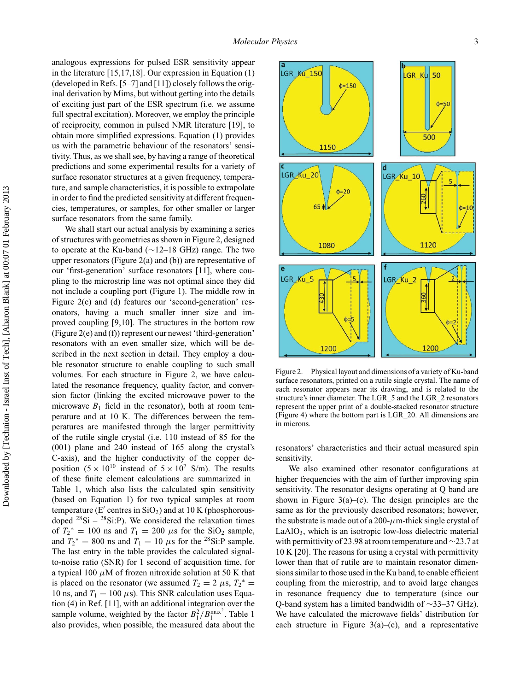analogous expressions for pulsed ESR sensitivity appear in the literature [15,17,18]. Our expression in Equation (1) (developed in Refs. [5–7] and [11]) closely follows the original derivation by Mims, but without getting into the details of exciting just part of the ESR spectrum (i.e. we assume full spectral excitation). Moreover, we employ the principle of reciprocity, common in pulsed NMR literature [19], to obtain more simplified expressions. Equation (1) provides us with the parametric behaviour of the resonators' sensitivity. Thus, as we shall see, by having a range of theoretical predictions and some experimental results for a variety of surface resonator structures at a given frequency, temperature, and sample characteristics, it is possible to extrapolate in order to find the predicted sensitivity at different frequencies, temperatures, or samples, for other smaller or larger surface resonators from the same family.

We shall start our actual analysis by examining a series of structures with geometries as shown in Figure 2, designed to operate at the Ku-band (∼12–18 GHz) range. The two upper resonators (Figure 2(a) and (b)) are representative of our 'first-generation' surface resonators [11], where coupling to the microstrip line was not optimal since they did not include a coupling port (Figure 1). The middle row in Figure 2(c) and (d) features our 'second-generation' resonators, having a much smaller inner size and improved coupling [9,10]. The structures in the bottom row (Figure 2(e) and (f)) represent our newest 'third-generation' resonators with an even smaller size, which will be described in the next section in detail. They employ a double resonator structure to enable coupling to such small volumes. For each structure in Figure 2, we have calculated the resonance frequency, quality factor, and conversion factor (linking the excited microwave power to the microwave  $B_1$  field in the resonator), both at room temperature and at 10 K. The differences between the temperatures are manifested through the larger permittivity of the rutile single crystal (i.e. 110 instead of 85 for the (001) plane and 240 instead of 165 along the crystal's C-axis), and the higher conductivity of the copper deposition  $(5 \times 10^{10} \text{ instead of } 5 \times 10^7 \text{ S/m})$ . The results of these finite element calculations are summarized in Table 1, which also lists the calculated spin sensitivity (based on Equation 1) for two typical samples at room temperature ( $E'$  centres in  $SiO<sub>2</sub>$ ) and at 10 K (phosphorousdoped  $^{28}Si - ^{28}Si$ :P). We considered the relaxation times of  $T_2^* = 100$  ns and  $T_1 = 200 \mu s$  for the SiO<sub>2</sub> sample, and  $T_2^* = 800$  ns and  $T_1 = 10 \mu s$  for the <sup>28</sup>Si:P sample. The last entry in the table provides the calculated signalto-noise ratio (SNR) for 1 second of acquisition time, for a typical 100  $\mu$ M of frozen nitroxide solution at 50 K that is placed on the resonator (we assumed  $T_2 = 2 \mu s$ ,  $T_2^* =$ 10 ns, and  $T_1 = 100 \,\mu s$ ). This SNR calculation uses Equation (4) in Ref. [11], with an additional integration over the sample volume, weighted by the factor  $B_1^2/B_1^{\max^2}$ . Table 1 also provides, when possible, the measured data about the



Figure 2. Physical layout and dimensions of a variety of Ku-band surface resonators, printed on a rutile single crystal. The name of each resonator appears near its drawing, and is related to the structure's inner diameter. The LGR\_5 and the LGR\_2 resonators represent the upper print of a double-stacked resonator structure (Figure 4) where the bottom part is LGR\_20. All dimensions are in microns.

resonators' characteristics and their actual measured spin sensitivity.

We also examined other resonator configurations at higher frequencies with the aim of further improving spin sensitivity. The resonator designs operating at Q band are shown in Figure  $3(a)$ –(c). The design principles are the same as for the previously described resonators; however, the substrate is made out of a 200- $\mu$ m-thick single crystal of  $LaAlO<sub>3</sub>$ , which is an isotropic low-loss dielectric material with permittivity of 23.98 at room temperature and ∼23.7 at 10 K [20]. The reasons for using a crystal with permittivity lower than that of rutile are to maintain resonator dimensions similar to those used in the Ku band, to enable efficient coupling from the microstrip, and to avoid large changes in resonance frequency due to temperature (since our Q-band system has a limited bandwidth of ∼33–37 GHz). We have calculated the microwave fields' distribution for each structure in Figure  $3(a)$ –(c), and a representative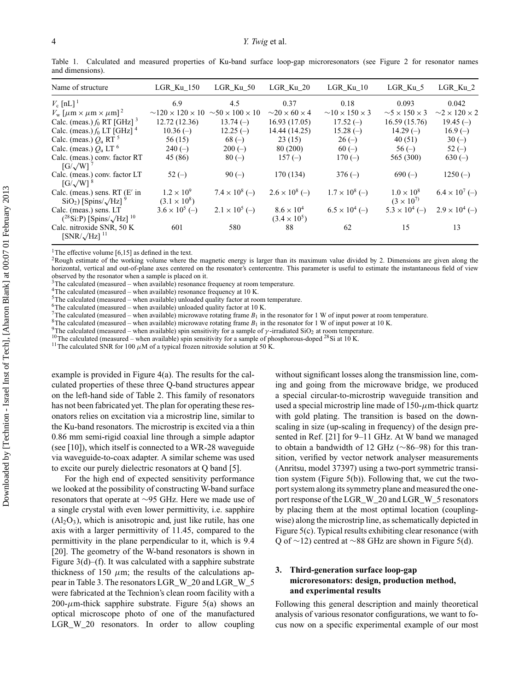| Name of structure                                                              | LGR Ku 150                                 | LGR Ku 50                          | LGR Ku 20                                  | $LGR_Ku_10$                       | LGR Ku 5                                   | LGR Ku 2                         |
|--------------------------------------------------------------------------------|--------------------------------------------|------------------------------------|--------------------------------------------|-----------------------------------|--------------------------------------------|----------------------------------|
| $V_c$ [nL] <sup>1</sup>                                                        | 6.9                                        | 4.5                                | 0.37                                       | 0.18                              | 0.093                                      | 0.042                            |
| $V_{\rm w}$ [ $\mu$ m $\times \mu$ m $\times \mu$ m] <sup>2</sup>              | $\sim$ 120 $\times$ 120 $\times$ 10        | $\sim$ 50 $\times$ 100 $\times$ 10 | $\sim$ 20 $\times$ 60 $\times$ 4           | $\sim$ 10 $\times$ 150 $\times$ 3 | $\sim$ 5 $\times$ 150 $\times$ 3           | $\sim$ 2 $\times$ 120 $\times$ 2 |
| Calc. (meas.) $f_0$ RT [GHz] <sup>3</sup>                                      | 12.72(12.36)                               | $13.74(-)$                         | 16.93(17.05)                               | $17.52(-)$                        | 16.59 (15.76)                              | $19.45(-)$                       |
| Calc. (meas.) $f_0$ LT [GHz] <sup>4</sup>                                      | $10.36(-)$                                 | $12.25(-)$                         | 14.44 (14.25)                              | $15.28(-)$                        | $14.29(-)$                                 | $16.9(-)$                        |
| Calc. (meas.) $Q_u$ RT <sup>5</sup>                                            | 56(15)                                     | $68(-)$                            | 23(15)                                     | $26(-)$                           | 40(51)                                     | $30(-)$                          |
| Calc. (meas.) $Q_u$ LT $^6$                                                    | $240(-)$                                   | $200(-)$                           | 80 (200)                                   | $60(-)$                           | $56(-)$                                    | $52(-)$                          |
| Calc. (meas.) conv. factor RT<br>$[G/\sqrt{W}]$                                | 45 (86)                                    | $80(-)$                            | $157(-)$                                   | $170(-)$                          | 565 (300)                                  | $630(-)$                         |
| Calc. (meas.) conv. factor LT<br>$\left[\frac{G}{\sqrt{W}}\right]^8$           | $52(-)$                                    | $90(-)$                            | 170 (134)                                  | $376(-)$                          | $690(-)$                                   | $1250(-)$                        |
| Calc. (meas.) sens. RT $(E'$ in<br>$SiO2$ ) [Spins/ $\sqrt{Hz}$ ] <sup>9</sup> | $1.2 \times 10^{9}$<br>$(3.1 \times 10^8)$ | $7.4 \times 10^8$ (-)              | $2.6 \times 10^8$ (-)                      | $1.7 \times 10^8$ (-)             | $1.0 \times 10^{8}$<br>$(3 \times 10^{7})$ | $6.4 \times 10^{7}$ (-)          |
| Calc. (meas.) sens. LT<br>$(^{28}Si:P)$ [Spins/ $\sqrt{Hz}$ ] <sup>10</sup>    | $3.6 \times 10^5$ (-)                      | $2.1 \times 10^5$ (-)              | $8.6 \times 10^{4}$<br>$(3.4 \times 10^5)$ | $6.5 \times 10^{4}$ (-)           | $5.3 \times 10^{4}$ (-)                    | $2.9 \times 10^4$ (-)            |
| Calc. nitroxide SNR, 50 K<br>$[SNR/\sqrt{Hz}]$ <sup>11</sup>                   | 601                                        | 580                                | 88                                         | 62                                | 15                                         | 13                               |

Table 1. Calculated and measured properties of Ku-band surface loop-gap microresonators (see Figure 2 for resonator names and dimensions).

<sup>1</sup>The effective volume [6,15] as defined in the text.

<sup>2</sup>Rough estimate of the working volume where the magnetic energy is larger than its maximum value divided by 2. Dimensions are given along the horizontal, vertical and out-of-plane axes centered on the resonator's centercentre. This parameter is useful to estimate the instantaneous field of view observed by the resonator when a sample is placed on it.

 $3$ The calculated (measured – when available) resonance frequency at room temperature.

4The calculated (measured – when available) resonance frequency at 10 K.

 $5$ The calculated (measured – when available) unloaded quality factor at room temperature.

<sup>6</sup>The calculated (measured – when available) unloaded quality factor at 10 K.<br><sup>7</sup>The calculated (measured – when available) microwave rotating frame  $B_1$  in the resonator for 1 W of input power at room temperature.

<sup>8</sup>The calculated (measured – when available) microwave rotating frame  $B_1$  in the resonator for 1 W of input power at 10 K.<br><sup>9</sup>The calculated (measured – when available) spin sensitivity for a sample of *y*-irradiated S

example is provided in Figure 4(a). The results for the calculated properties of these three Q-band structures appear on the left-hand side of Table 2. This family of resonators has not been fabricated yet. The plan for operating these resonators relies on excitation via a microstrip line, similar to the Ku-band resonators. The microstrip is excited via a thin 0.86 mm semi-rigid coaxial line through a simple adaptor (see [10]), which itself is connected to a WR-28 waveguide via waveguide-to-coax adapter. A similar scheme was used to excite our purely dielectric resonators at Q band [5].

For the high end of expected sensitivity performance we looked at the possibility of constructing W-band surface resonators that operate at ∼95 GHz. Here we made use of a single crystal with even lower permittivity, i.e. sapphire  $(A<sub>12</sub>O<sub>3</sub>)$ , which is anisotropic and, just like rutile, has one axis with a larger permittivity of 11.45, compared to the permittivity in the plane perpendicular to it, which is 9.4 [20]. The geometry of the W-band resonators is shown in Figure  $3(d)$ –(f). It was calculated with a sapphire substrate thickness of 150  $\mu$ m; the results of the calculations appear in Table 3. The resonators LGR\_W\_20 and LGR\_W\_5 were fabricated at the Technion's clean room facility with a  $200-\mu$ m-thick sapphire substrate. Figure 5(a) shows an optical microscope photo of one of the manufactured LGR\_W\_20 resonators. In order to allow coupling without significant losses along the transmission line, coming and going from the microwave bridge, we produced a special circular-to-microstrip waveguide transition and used a special microstrip line made of  $150-\mu$ m-thick quartz with gold plating. The transition is based on the downscaling in size (up-scaling in frequency) of the design presented in Ref. [21] for 9–11 GHz. At W band we managed to obtain a bandwidth of 12 GHz (∼86–98) for this transition, verified by vector network analyser measurements (Anritsu, model 37397) using a two-port symmetric transition system (Figure 5(b)). Following that, we cut the twoport system along its symmetry plane and measured the oneport response of the LGR\_W\_20 and LGR\_W\_5 resonators by placing them at the most optimal location (couplingwise) along the microstrip line, as schematically depicted in Figure 5(c). Typical results exhibiting clear resonance (with Q of ∼12) centred at ∼88 GHz are shown in Figure 5(d).

#### **3. Third-generation surface loop-gap microresonators: design, production method, and experimental results**

Following this general description and mainly theoretical analysis of various resonator configurations, we want to focus now on a specific experimental example of our most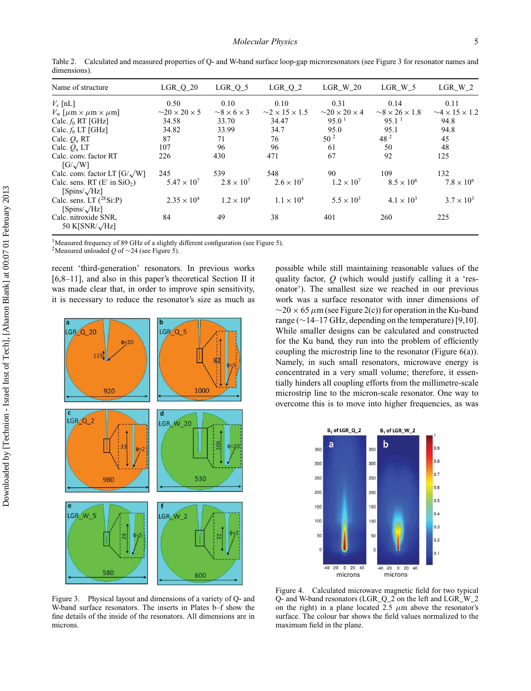| Name of structure                                    | LGR $Q_2$ 20                     | LGR $Q_5$             | LGR $Q2$                          | LGR W 20                         | LGR W 5                           | LGR W 2                           |
|------------------------------------------------------|----------------------------------|-----------------------|-----------------------------------|----------------------------------|-----------------------------------|-----------------------------------|
| $V_c$ [nL]                                           | 0.50                             | 0.10                  | 0.10                              | 0.31                             | 0.14                              | 0.11                              |
| $V_{\rm w}$ [ $\mu$ m $\times \mu$ m $\times \mu$ m] | $\sim$ 20 $\times$ 20 $\times$ 5 | $\sim8\times6\times3$ | $\sim$ 2 $\times$ 15 $\times$ 1.5 | $\sim$ 20 $\times$ 20 $\times$ 4 | $\sim$ 8 $\times$ 26 $\times$ 1.8 | $\sim$ 4 $\times$ 15 $\times$ 1.2 |
| Calc. $f_0$ RT [GHz]                                 | 34.58                            | 33.70                 | 34.47                             | 95.0 <sup>1</sup>                | 95.1 <sup>1</sup>                 | 94.8                              |
| Calc. $f_0$ LT [GHz]                                 | 34.82                            | 33.99                 | 34.7                              | 95.0                             | 95.1                              | 94.8                              |
| Calc. $Q_n$ RT                                       | 87                               | 71                    | 76                                | 50 <sup>2</sup>                  | 48 <sup>2</sup>                   | 45                                |
| Calc. $Q_u$ LT                                       | 107                              | 96                    | 96                                | 61                               | 50                                | 48                                |
| Calc. conv. factor RT                                | 226                              | 430                   | 471                               | 67                               | 92                                | 125                               |
| $[G/\sqrt{W}]$                                       |                                  |                       |                                   |                                  |                                   |                                   |
| Calc. conv. factor LT $[G/\sqrt{W}]$                 | 245                              | 539                   | 548                               | 90                               | 109                               | 132                               |
| Calc. sens. RT $(E' \text{ in } \text{SiO}_2)$       | $5.47 \times 10^{7}$             | $2.8 \times 10^7$     | $2.6 \times 10^{7}$               | $1.2 \times 10^{7}$              | $8.5 \times 10^{6}$               | $7.8 \times 10^{6}$               |
| $\left[\text{Spins}/\sqrt{\text{Hz}}\right]$         |                                  |                       |                                   |                                  |                                   |                                   |
| Calc. sens. LT $(^{28}SiP)$<br>$[Spins/\sqrt{Hz}]$   | $2.35 \times 10^{4}$             | $1.2 \times 10^{4}$   | $1.1 \times 10^{4}$               | $5.5 \times 10^{3}$              | $4.1 \times 10^{3}$               | $3.7 \times 10^{3}$               |
| Calc. nitroxide SNR,<br>50 K[SNR/ $\sqrt{Hz}$ ]      | 84                               | 49                    | 38                                | 401                              | 260                               | 225                               |

Table 2. Calculated and measured properties of Q- and W-band surface loop-gap microresonators (see Figure 3 for resonator names and dimensions).

<sup>1</sup>Measured frequency of 89 GHz of a slightly different configuration (see Figure 5).

2Measured unloaded *<sup>Q</sup>* of <sup>∼</sup>24 (see Figure 5).

recent 'third-generation' resonators. In previous works [6,8–11], and also in this paper's theoretical Section II it was made clear that, in order to improve spin sensitivity, it is necessary to reduce the resonator's size as much as



Figure 3. Physical layout and dimensions of a variety of Q- and W-band surface resonators. The inserts in Plates b–f show the fine details of the inside of the resonators. All dimensions are in microns.

possible while still maintaining reasonable values of the quality factor, *Q* (which would justify calling it a 'resonator'). The smallest size we reached in our previous work was a surface resonator with inner dimensions of  $\sim$ 20 × 65  $\mu$ m (see Figure 2(c)) for operation in the Ku-band range (∼14–17 GHz, depending on the temperature) [9,10]. While smaller designs can be calculated and constructed for the Ku band, they run into the problem of efficiently coupling the microstrip line to the resonator (Figure 6(a)). Namely, in such small resonators, microwave energy is concentrated in a very small volume; therefore, it essentially hinders all coupling efforts from the millimetre-scale microstrip line to the micron-scale resonator. One way to overcome this is to move into higher frequencies, as was



Figure 4. Calculated microwave magnetic field for two typical Q- and W-band resonators (LGR\_Q\_2 on the left and LGR\_W\_2 on the right) in a plane located 2.5  $\mu$ m above the resonator's surface. The colour bar shows the field values normalized to the maximum field in the plane.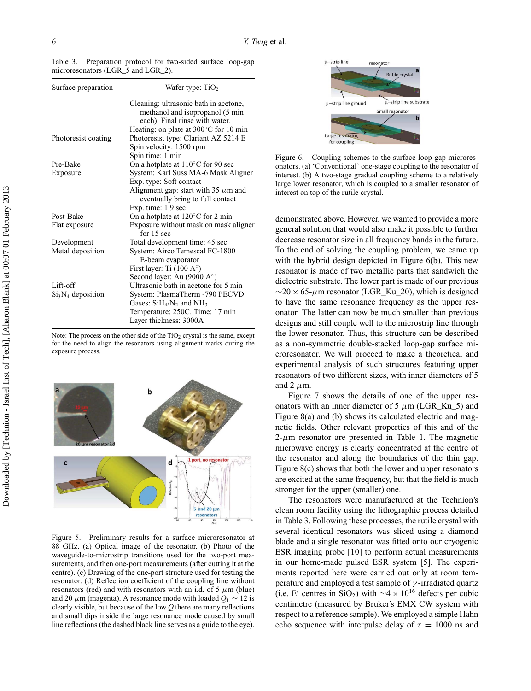| Surface preparation | Wafer type: $TiO2$                                                                                         |
|---------------------|------------------------------------------------------------------------------------------------------------|
|                     | Cleaning: ultrasonic bath in acetone,<br>methanol and isopropanol (5 min<br>each). Final rinse with water. |
|                     | Heating: on plate at $300^{\circ}$ C for 10 min                                                            |
| Photoresist coating | Photoresist type: Clariant AZ 5214 E                                                                       |
|                     | Spin velocity: 1500 rpm                                                                                    |
|                     | Spin time: 1 min                                                                                           |
| Pre-Bake            | On a hotplate at $110^{\circ}$ C for 90 sec                                                                |
| Exposure            | System: Karl Suss MA-6 Mask Aligner                                                                        |
|                     | Exp. type: Soft contact                                                                                    |
|                     | Alignment gap: start with 35 $\mu$ m and<br>eventually bring to full contact                               |
|                     | Exp. time: 1.9 sec                                                                                         |
| Post-Bake           | On a hotplate at $120^{\circ}$ C for 2 min                                                                 |
| Flat exposure       | Exposure without mask on mask aligner<br>for $15$ sec                                                      |
| Development         | Total development time: 45 sec                                                                             |
| Metal deposition    | System: Airco Temescal FC-1800                                                                             |
|                     | E-beam evaporator                                                                                          |
|                     | First layer: Ti $(100 \text{ A}^{\circ})$                                                                  |
|                     | Second layer: Au (9000 $A^{\circ}$ )                                                                       |
| Lift-off            | Ultrasonic bath in acetone for 5 min                                                                       |
| $Si3N4$ deposition  | System: PlasmaTherm -790 PECVD                                                                             |
|                     | Gases: $SiH_4/N_2$ and $NH_3$                                                                              |
|                     | Temperature: 250C. Time: 17 min                                                                            |
|                     | Layer thickness: 3000A                                                                                     |

Table 3. Preparation protocol for two-sided surface loop-gap microresonators (LGR 5 and LGR 2).

Note: The process on the other side of the  $TiO<sub>2</sub>$  crystal is the same, except for the need to align the resonators using alignment marks during the exposure process.



Figure 5. Preliminary results for a surface microresonator at 88 GHz. (a) Optical image of the resonator. (b) Photo of the waveguide-to-microstrip transitions used for the two-port measurements, and then one-port measurements (after cutting it at the centre). (c) Drawing of the one-port structure used for testing the resonator. (d) Reflection coefficient of the coupling line without resonators (red) and with resonators with an i.d. of 5  $\mu$ m (blue) and 20  $\mu$ m (magenta). A resonance mode with loaded  $Q_L \sim 12$  is clearly visible, but because of the low *Q* there are many reflections and small dips inside the large resonance mode caused by small line reflections (the dashed black line serves as a guide to the eye).



Figure 6. Coupling schemes to the surface loop-gap microresonators. (a) 'Conventional' one-stage coupling to the resonator of interest. (b) A two-stage gradual coupling scheme to a relatively large lower resonator, which is coupled to a smaller resonator of interest on top of the rutile crystal.

demonstrated above. However, we wanted to provide a more general solution that would also make it possible to further decrease resonator size in all frequency bands in the future. To the end of solving the coupling problem, we came up with the hybrid design depicted in Figure 6(b). This new resonator is made of two metallic parts that sandwich the dielectric substrate. The lower part is made of our previous  $\sim$ 20 × 65- $\mu$ m resonator (LGR\_Ku\_20), which is designed to have the same resonance frequency as the upper resonator. The latter can now be much smaller than previous designs and still couple well to the microstrip line through the lower resonator. Thus, this structure can be described as a non-symmetric double-stacked loop-gap surface microresonator. We will proceed to make a theoretical and experimental analysis of such structures featuring upper resonators of two different sizes, with inner diameters of 5 and 2  $\mu$ m.

Figure 7 shows the details of one of the upper resonators with an inner diameter of 5  $\mu$ m (LGR\_Ku\_5) and Figure 8(a) and (b) shows its calculated electric and magnetic fields. Other relevant properties of this and of the  $2-\mu m$  resonator are presented in Table 1. The magnetic microwave energy is clearly concentrated at the centre of the resonator and along the boundaries of the thin gap. Figure 8(c) shows that both the lower and upper resonators are excited at the same frequency, but that the field is much stronger for the upper (smaller) one.

The resonators were manufactured at the Technion's clean room facility using the lithographic process detailed in Table 3. Following these processes, the rutile crystal with several identical resonators was sliced using a diamond blade and a single resonator was fitted onto our cryogenic ESR imaging probe [10] to perform actual measurements in our home-made pulsed ESR system [5]. The experiments reported here were carried out only at room temperature and employed a test sample of  $\gamma$ -irradiated quartz (i.e. E' centres in SiO<sub>2</sub>) with  $\sim$ 4 × 10<sup>16</sup> defects per cubic centimetre (measured by Bruker's EMX CW system with respect to a reference sample). We employed a simple Hahn echo sequence with interpulse delay of  $\tau = 1000$  ns and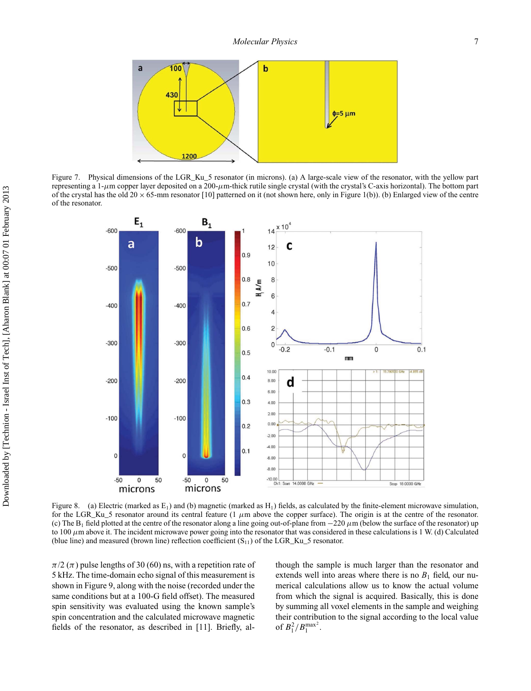

Figure 7. Physical dimensions of the LGR\_Ku\_5 resonator (in microns). (a) A large-scale view of the resonator, with the yellow part representing a 1- $\mu$ m copper layer deposited on a 200- $\mu$ m-thick rutile single crystal (with the crystal's C-axis horizontal). The bottom part of the crystal has the old 20  $\times$  65-mm resonator [10] patterned on it (not shown here, only in Figure 1(b)). (b) Enlarged view of the centre of the resonator.



Figure 8. (a) Electric (marked as  $E_1$ ) and (b) magnetic (marked as  $H_1$ ) fields, as calculated by the finite-element microwave simulation, for the LGR\_Ku\_5 resonator around its central feature (1  $\mu$ m above the copper surface). The origin is at the centre of the resonator. (c) The  $B_1$  field plotted at the centre of the resonator along a line going out-of-plane from  $-220 \mu$ m (below the surface of the resonator) up to 100  $\mu$ m above it. The incident microwave power going into the resonator that was considered in these calculations is 1 W. (d) Calculated (blue line) and measured (brown line) reflection coefficient  $(S_{11})$  of the LGR\_Ku\_5 resonator.

 $\pi/2$  ( $\pi$ ) pulse lengths of 30 (60) ns, with a repetition rate of 5 kHz. The time-domain echo signal of this measurement is shown in Figure 9, along with the noise (recorded under the same conditions but at a 100-G field offset). The measured spin sensitivity was evaluated using the known sample's spin concentration and the calculated microwave magnetic fields of the resonator, as described in [11]. Briefly, although the sample is much larger than the resonator and extends well into areas where there is no  $B_1$  field, our numerical calculations allow us to know the actual volume from which the signal is acquired. Basically, this is done by summing all voxel elements in the sample and weighing their contribution to the signal according to the local value of  $B_1^2/B_1^{\max^2}$ .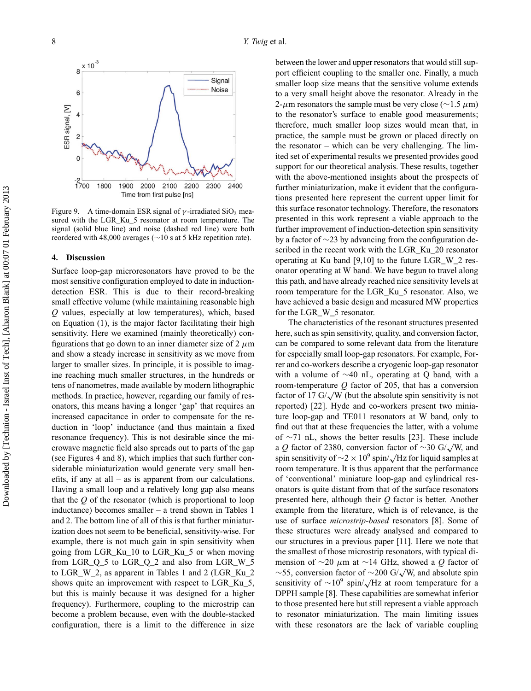

Figure 9. A time-domain ESR signal of  $\gamma$ -irradiated SiO<sub>2</sub> measured with the LGR\_Ku\_5 resonator at room temperature. The signal (solid blue line) and noise (dashed red line) were both reordered with 48,000 averages (∼10 s at 5 kHz repetition rate).

#### **4. Discussion**

Surface loop-gap microresonators have proved to be the most sensitive configuration employed to date in inductiondetection ESR. This is due to their record-breaking small effective volume (while maintaining reasonable high *Q* values, especially at low temperatures), which, based on Equation (1), is the major factor facilitating their high sensitivity. Here we examined (mainly theoretically) configurations that go down to an inner diameter size of 2  $\mu$ m and show a steady increase in sensitivity as we move from larger to smaller sizes. In principle, it is possible to imagine reaching much smaller structures, in the hundreds or tens of nanometres, made available by modern lithographic methods. In practice, however, regarding our family of resonators, this means having a longer 'gap' that requires an increased capacitance in order to compensate for the reduction in 'loop' inductance (and thus maintain a fixed resonance frequency). This is not desirable since the microwave magnetic field also spreads out to parts of the gap (see Figures 4 and 8), which implies that such further considerable miniaturization would generate very small benefits, if any at all – as is apparent from our calculations. Having a small loop and a relatively long gap also means that the *Q* of the resonator (which is proportional to loop inductance) becomes smaller – a trend shown in Tables 1 and 2. The bottom line of all of this is that further miniaturization does not seem to be beneficial, sensitivity-wise. For example, there is not much gain in spin sensitivity when going from LGR\_Ku\_10 to LGR\_Ku\_5 or when moving from LGR\_Q\_5 to LGR\_Q\_2 and also from LGR\_W\_5 to LGR\_W\_2, as apparent in Tables 1 and 2 (LGR\_Ku\_2 shows quite an improvement with respect to LGR\_Ku\_5, but this is mainly because it was designed for a higher frequency). Furthermore, coupling to the microstrip can become a problem because, even with the double-stacked configuration, there is a limit to the difference in size

between the lower and upper resonators that would still support efficient coupling to the smaller one. Finally, a much smaller loop size means that the sensitive volume extends to a very small height above the resonator. Already in the 2-μm resonators the sample must be very close ( $\sim$ 1.5 μm) to the resonator's surface to enable good measurements; therefore, much smaller loop sizes would mean that, in practice, the sample must be grown or placed directly on the resonator – which can be very challenging. The limited set of experimental results we presented provides good support for our theoretical analysis. These results, together with the above-mentioned insights about the prospects of further miniaturization, make it evident that the configurations presented here represent the current upper limit for this surface resonator technology. Therefore, the resonators presented in this work represent a viable approach to the further improvement of induction-detection spin sensitivity by a factor of ∼23 by advancing from the configuration described in the recent work with the LGR\_Ku\_20 resonator operating at Ku band [9,10] to the future LGR\_W\_2 resonator operating at W band. We have begun to travel along this path, and have already reached nice sensitivity levels at room temperature for the LGR\_Ku\_5 resonator. Also, we have achieved a basic design and measured MW properties for the LGR\_W\_5 resonator.

The characteristics of the resonant structures presented here, such as spin sensitivity, quality, and conversion factor, can be compared to some relevant data from the literature for especially small loop-gap resonators. For example, Forrer and co-workers describe a cryogenic loop-gap resonator with a volume of ∼40 nL, operating at Q band, with a room-temperature *Q* factor of 205, that has a conversion factor of 17 G/ $\sqrt{W}$  (but the absolute spin sensitivity is not reported) [22]. Hyde and co-workers present two miniature loop-gap and TE011 resonators at W band, only to find out that at these frequencies the latter, with a volume of ∼71 nL, shows the better results [23]. These include <sup>a</sup> *<sup>Q</sup>* factor of 2380, conversion factor of <sup>∼</sup>30 G/√W, and spin sensitivity of  $\sim$ 2 × 10<sup>9</sup> spin/ $\sqrt{Hz}$  for liquid samples at room temperature. It is thus apparent that the performance of 'conventional' miniature loop-gap and cylindrical resonators is quite distant from that of the surface resonators presented here, although their *Q* factor is better. Another example from the literature, which is of relevance, is the use of surface *microstrip-based* resonators [8]. Some of these structures were already analysed and compared to our structures in a previous paper [11]. Here we note that the smallest of those microstrip resonators, with typical dimension of ∼20 μm at ∼14 GHz, showed a *Q* factor of <sup>∼</sup>55, conversion factor of <sup>∼</sup>200 G/√W, and absolute spin sensitivity of  $\sim 10^9$  spin/ $\sqrt{\text{Hz}}$  at room temperature for a DPPH sample [8]. These capabilities are somewhat inferior to those presented here but still represent a viable approach to resonator miniaturization. The main limiting issues with these resonators are the lack of variable coupling